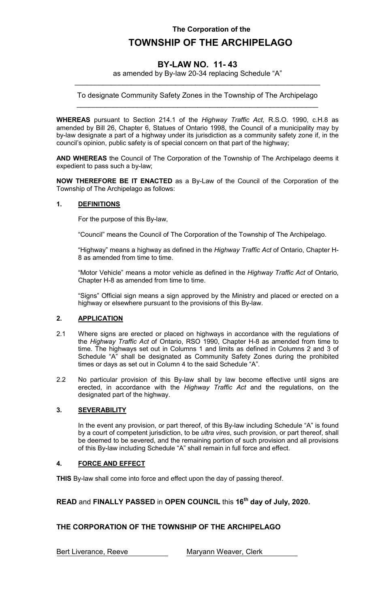### **The Corporation of the**

# **TOWNSHIP OF THE ARCHIPELAGO**

## **BY-LAW NO. 11- 43**

as amended by By-law 20-34 replacing Schedule "A" \_\_\_\_\_\_\_\_\_\_\_\_\_\_\_\_\_\_\_\_\_\_\_\_\_\_\_\_\_\_\_\_\_\_\_\_\_\_\_\_\_\_\_\_\_\_\_\_\_\_\_\_\_\_\_\_\_\_\_\_\_

To designate Community Safety Zones in the Township of The Archipelago \_\_\_\_\_\_\_\_\_\_\_\_\_\_\_\_\_\_\_\_\_\_\_\_\_\_\_\_\_\_\_\_\_\_\_\_\_\_\_\_\_\_\_\_\_\_\_\_\_\_\_\_\_\_\_\_\_\_\_\_

**WHEREAS** pursuant to Section 214.1 of the *Highway Traffic Act,* R.S.O. 1990, c.H.8 as amended by Bill 26, Chapter 6, Statues of Ontario 1998, the Council of a municipality may by by-law designate a part of a highway under its jurisdiction as a community safety zone if, in the council's opinion, public safety is of special concern on that part of the highway;

**AND WHEREAS** the Council of The Corporation of the Township of The Archipelago deems it expedient to pass such a by-law;

**NOW THEREFORE BE IT ENACTED** as a By-Law of the Council of the Corporation of the Township of The Archipelago as follows:

#### **1. DEFINITIONS**

For the purpose of this By-law,

"Council" means the Council of The Corporation of the Township of The Archipelago.

"Highway" means a highway as defined in the *Highway Traffic Act* of Ontario, Chapter H-8 as amended from time to time.

"Motor Vehicle" means a motor vehicle as defined in the *Highway Traffic Act* of Ontario, Chapter H-8 as amended from time to time.

"Signs" Official sign means a sign approved by the Ministry and placed or erected on a highway or elsewhere pursuant to the provisions of this By-law.

#### **2. APPLICATION**

- 2.1 Where signs are erected or placed on highways in accordance with the regulations of the *Highway Traffic Act* of Ontario, RSO 1990, Chapter H-8 as amended from time to time. The highways set out in Columns 1 and limits as defined in Columns 2 and 3 of Schedule "A" shall be designated as Community Safety Zones during the prohibited times or days as set out in Column 4 to the said Schedule "A".
- 2.2 No particular provision of this By-law shall by law become effective until signs are erected, in accordance with the *Highway Traffic Act* and the regulations, on the designated part of the highway.

#### **3. SEVERABILITY**

In the event any provision, or part thereof, of this By-law including Schedule "A" is found by a court of competent jurisdiction, to be *ultra vires*, such provision, or part thereof, shall be deemed to be severed, and the remaining portion of such provision and all provisions of this By-law including Schedule "A" shall remain in full force and effect.

#### **4. FORCE AND EFFECT**

**THIS** By-law shall come into force and effect upon the day of passing thereof.

**READ** and **FINALLY PASSED** in **OPEN COUNCIL** this **16th day of July, 2020.**

### **THE CORPORATION OF THE TOWNSHIP OF THE ARCHIPELAGO**

Bert Liverance, Reeve Maryann Weaver, Clerk